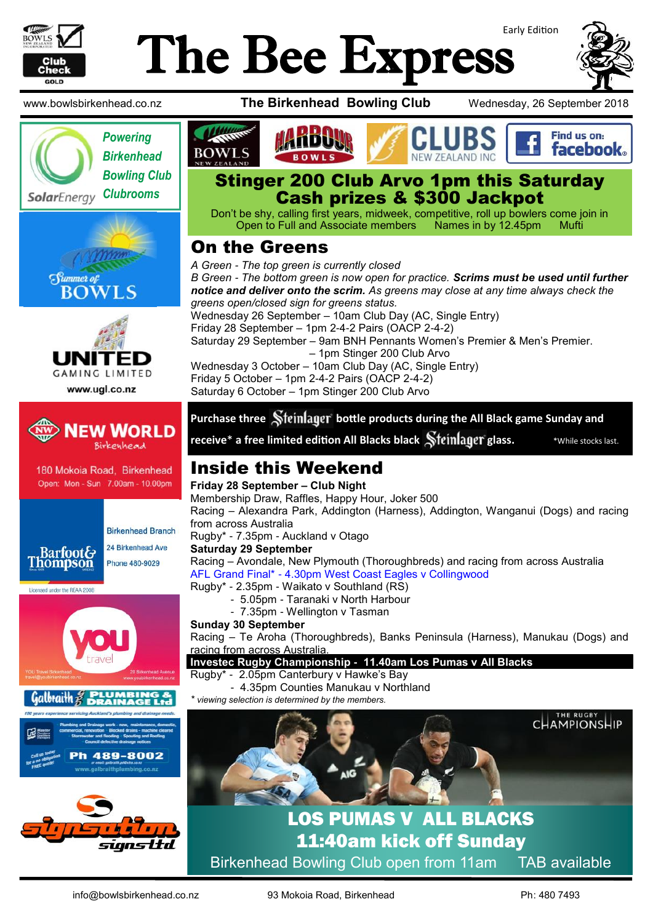

# Early Edition The Bee Express











180 Mokoia Road, Birkenhead Open: Mon - Sun 7.00am - 10.00pm



**Birkenhead Branch** 24 Birkenhead Ave

Phone 480-9029









www.bowlsbirkenhead.co.nz **The Birkenhead Bowling Club** Wednesday, 26 September 2018







Don't be shy, calling first years, midweek, competitive, roll up bowlers come join in Open to Full and Associate members Names in by 12.45pm Mufti

# On the Greens

*A Green - The top green is currently closed B Green - The bottom green is now open for practice. Scrims must be used until further notice and deliver onto the scrim. As greens may close at any time always check the greens open/closed sign for greens status.* Wednesday 26 September – 10am Club Day (AC, Single Entry) Friday 28 September – 1pm 2-4-2 Pairs (OACP 2-4-2) Saturday 29 September – 9am BNH Pennants Women's Premier & Men's Premier. – 1pm Stinger 200 Club Arvo Wednesday 3 October – 10am Club Day (AC, Single Entry) Friday 5 October – 1pm 2-4-2 Pairs (OACP 2-4-2) Saturday 6 October – 1pm Stinger 200 Club Arvo

#### **Purchase three Steinlager bottle products during the All Black game Sunday and**

**receive**\* **a free limited edition All Blacks black Steinlager glass. the stacks asternal stand and the stacks last.** 

# Inside this Weekend

**Friday 28 September – Club Night** Membership Draw, Raffles, Happy Hour, Joker 500

Racing – Alexandra Park, Addington (Harness), Addington, Wanganui (Dogs) and racing from across Australia

Rugby\* - 7.35pm - Auckland v Otago

#### **Saturday 29 September**

Racing – Avondale, New Plymouth (Thoroughbreds) and racing from across Australia AFL Grand Final\* - 4.30pm West Coast Eagles v Collingwood

Rugby\* - 2.35pm - Waikato v Southland (RS)

- 5.05pm Taranaki v North Harbour
- 7.35pm Wellington v Tasman

#### **Sunday 30 September**

Racing – Te Aroha (Thoroughbreds), Banks Peninsula (Harness), Manukau (Dogs) and racing from across Australia.

#### **Investec Rugby Championship - 11.40am Los Pumas v All Blacks**

Rugby\* - 2.05pm Canterbury v Hawke's Bay

- 4.35pm Counties Manukau v Northland
- *\* viewing selection is determined by the members.*



# LOS PUMAS V ALL BLACKS 11:40am kick off Sunday Birkenhead Bowling Club open from 11am TAB available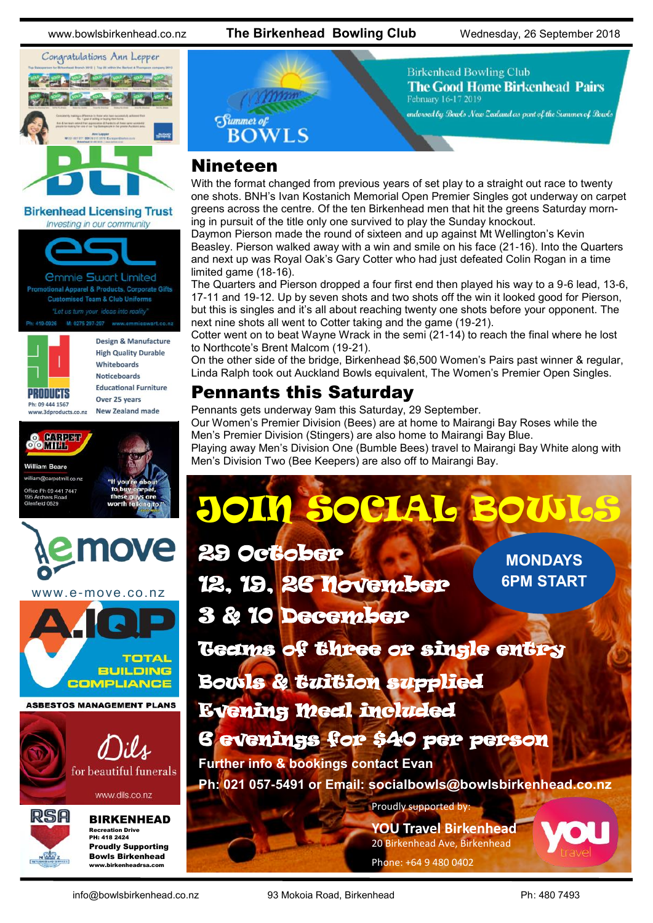www.bowlsbirkenhead.co.nz **The Birkenhead Bowling Club** Wednesday, 26 September 2018

**Birkenhead Bowling Club** 

February 16-17 2019

**The Good Home Birkenhead Pairs** 

endorsed by Bowls New Zealand as part of the Summer of Bowls



**Birkenhead Licensing Trust** Investing in our community



**Customised Team & Club Uniforms** : 419-0926 M: 0275 297-297 www.emmieswart.co.n



Design & Manufacture **High Quality Durable** Whiteboards **Noticeboards Educational Furniture** Over 25 years

www.3dproducts.co.nz



**William Roard** 

american diagnosis e Ph 09 441 7447 field 0629

New Zealand made



www.dils.co.nz



BIRKENHEAD

Recreation Drive PH: 418 2424 Proudly Supporting Bowls Birkenhead www.birkenheadrsa.com

# Summer of<br>BOWLS

# Nineteen

With the format changed from previous years of set play to a straight out race to twenty one shots. BNH's Ivan Kostanich Memorial Open Premier Singles got underway on carpet greens across the centre. Of the ten Birkenhead men that hit the greens Saturday morning in pursuit of the title only one survived to play the Sunday knockout.

Daymon Pierson made the round of sixteen and up against Mt Wellington's Kevin Beasley. Pierson walked away with a win and smile on his face (21-16). Into the Quarters and next up was Royal Oak's Gary Cotter who had just defeated Colin Rogan in a time limited game (18-16).

The Quarters and Pierson dropped a four first end then played his way to a 9-6 lead, 13-6, 17-11 and 19-12. Up by seven shots and two shots off the win it looked good for Pierson, but this is singles and it's all about reaching twenty one shots before your opponent. The next nine shots all went to Cotter taking and the game (19-21).

Cotter went on to beat Wayne Wrack in the semi (21-14) to reach the final where he lost to Northcote's Brent Malcom (19-21).

On the other side of the bridge, Birkenhead \$6,500 Women's Pairs past winner & regular, Linda Ralph took out Auckland Bowls equivalent, The Women's Premier Open Singles.

# Pennants this Saturday

Pennants gets underway 9am this Saturday, 29 September. Our Women's Premier Division (Bees) are at home to Mairangi Bay Roses while the Men's Premier Division (Stingers) are also home to Mairangi Bay Blue. Playing away Men's Division One (Bumble Bees) travel to Mairangi Bay White along with Men's Division Two (Bee Keepers) are also off to Mairangi Bay.

# **JOIN SOCIAL BOW**

Proudly supported by: **MONDAYS 6PM START** 29 October 12, 19, 26 November 3 & 10 December Teams of three or single entry Bowls & tuition supplied Evening Meal included 6 evenings for \$40 per person **Further info & bookings contact Evan Ph: 021 057-5491 or Email: socialbowls@bowlsbirkenhead.co.nz**

> **YOU Travel Birkenhead** 20 Birkenhead Ave, Birkenhead Phone: +64 9 480 0402

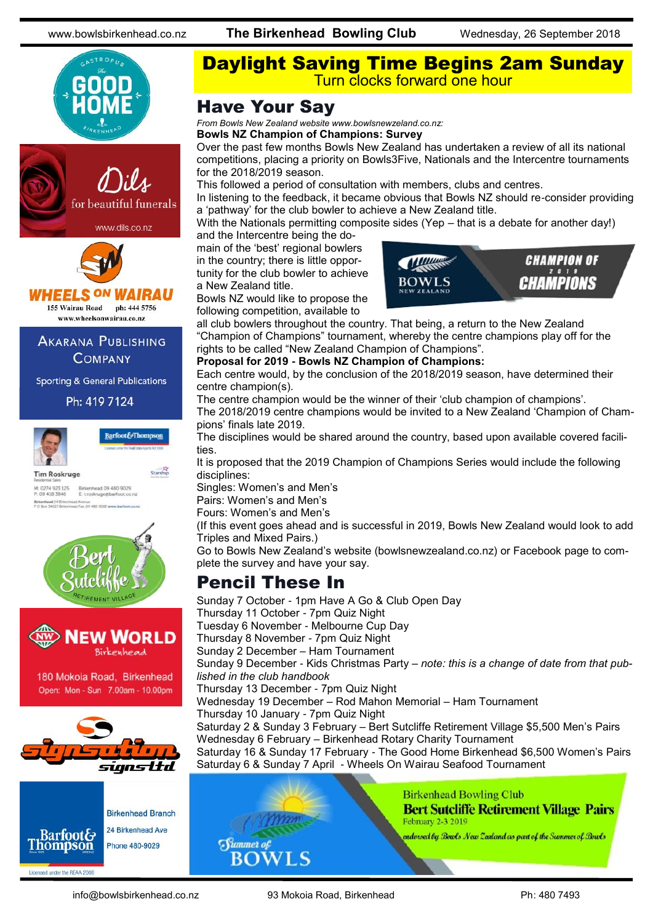





#### **HEELS ON WAIRAU** 155 Wairau Road ph: 444 5756

www.wheelsonwairau.co.nz

**AKARANA PUBLISHING COMPANY** 

**Sporting & General Publications** 

Ph: 419 7124



**Barfoot&Thompson** Starship

**Tim Roskruge** M: 0274 923 125 Birkenhead 09 480 9029<br>P: 09 418 3846 E: troskruge@barfoot.co.nz **Birkenhead 24 Briterit**<br>P O Roa 34027 Birken Avenue<br>Fax. 09 480 9019 www.barfoot.co.rd





180 Mokoia Road, Birkenhead Open: Mon - Sun 7.00am - 10.00pm





Daylight Saving Time Begins 2am Sunday Turn clocks forward one hour

## Have Your Say

*From Bowls New Zealand website www.bowlsnewzeland.co.nz:*

#### **Bowls NZ Champion of Champions: Survey**

Over the past few months Bowls New Zealand has undertaken a review of all its national competitions, placing a priority on Bowls3Five, Nationals and the Intercentre tournaments for the 2018/2019 season.

This followed a period of consultation with members, clubs and centres.

In listening to the feedback, it became obvious that Bowls NZ should re-consider providing a 'pathway' for the club bowler to achieve a New Zealand title.

With the Nationals permitting composite sides (Yep – that is a debate for another day!) and the Intercentre being the do-

main of the 'best' regional bowlers in the country; there is little opportunity for the club bowler to achieve a New Zealand title.

Bowls NZ would like to propose the following competition, available to



all club bowlers throughout the country. That being, a return to the New Zealand "Champion of Champions" tournament, whereby the centre champions play off for the rights to be called "New Zealand Champion of Champions".

#### **Proposal for 2019 - Bowls NZ Champion of Champions:**

Each centre would, by the conclusion of the 2018/2019 season, have determined their centre champion(s).

The centre champion would be the winner of their 'club champion of champions'.

The 2018/2019 centre champions would be invited to a New Zealand 'Champion of Champions' finals late 2019.

The disciplines would be shared around the country, based upon available covered facilities.

It is proposed that the 2019 Champion of Champions Series would include the following disciplines:

Singles: Women's and Men's Pairs: Women's and Men's

Fours: Women's and Men's

(If this event goes ahead and is successful in 2019, Bowls New Zealand would look to add Triples and Mixed Pairs.)

Go to Bowls New Zealand's website (bowlsnewzealand.co.nz) or Facebook page to complete the survey and have your say.

# Pencil These In

Sunday 7 October - 1pm Have A Go & Club Open Day Thursday 11 October - 7pm Quiz Night Tuesday 6 November - Melbourne Cup Day Thursday 8 November - 7pm Quiz Night Sunday 2 December – Ham Tournament Sunday 9 December - Kids Christmas Party – *note: this is a change of date from that published in the club handbook* Thursday 13 December - 7pm Quiz Night Wednesday 19 December – Rod Mahon Memorial – Ham Tournament Thursday 10 January - 7pm Quiz Night Saturday 2 & Sunday 3 February – Bert Sutcliffe Retirement Village \$5,500 Men's Pairs Wednesday 6 February – Birkenhead Rotary Charity Tournament Saturday 16 & Sunday 17 February - The Good Home Birkenhead \$6,500 Women's Pairs Saturday 6 & Sunday 7 April - Wheels On Wairau Seafood Tournament



**Birkenhead Bowling Club Bert Sutcliffe Retirement Village Pairs** February 2-3 2019

endorsed by Bowls New Zealand as part of the Summer of Bowls